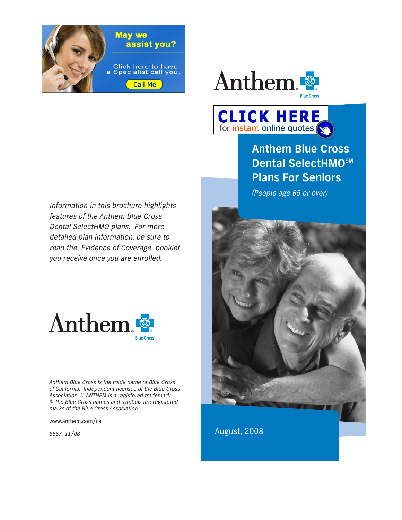



**CLICK HERE** for instant online quotes

**Anthem Blue Cross Dental SelectHMOSM Plans For Seniors**

(People age 65 or over)



Information in this brochure highlights features of the Anthem Blue Cross Dental SelectHMO plans. For more detailed plan information, be sure to read the Evidence of Coverage booklet you receive once you are enrolled.



Anthem Blue Cross is the trade name of Blue Cross of California. Independent licensee of the Blue Cross Association. ® ANTHEM is a registered trademark. ® The Blue Cross names and symbols are registered marks of the Blue Cross Association.

www.anthem.com/ca

8867 11/08

August, 2008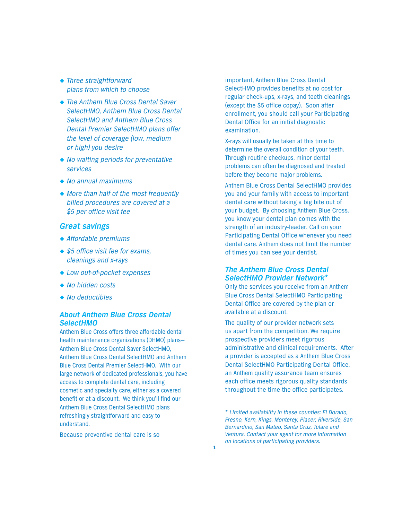- ◆ Three straightforward plans from which to choose
- ◆ The Anthem Blue Cross Dental Saver SelectHMO, Anthem Blue Cross Dental SelectHMO and Anthem Blue Cross Dental Premier SelectHMO plans offer the level of coverage (low, medium or high) you desire
- ◆ No waiting periods for preventative services
- ◆ No annual maximums
- ◆ More than half of the most frequently billed procedures are covered at a \$5 per office visit fee

## *Great savings*

- ◆ Affordable premiums
- ◆ \$5 office visit fee for exams, cleanings and x-rays
- ◆ Low out-of-pocket expenses
- ◆ No hidden costs
- ◆ No deductibles

### *About Anthem Blue Cross Dental SelectHMO*

Anthem Blue Cross offers three affordable dental health maintenance organizations (DHMO) plans— Anthem Blue Cross Dental Saver SelectHMO, Anthem Blue Cross Dental SelectHMO and Anthem Blue Cross Dental Premier SelectHMO. With our large network of dedicated professionals, you have access to complete dental care, including cosmetic and specialty care, either as a covered benefit or at a discount. We think you'll find our Anthem Blue Cross Dental SelectHMO plans refreshingly straightforward and easy to understand.

Because preventive dental care is so

important, Anthem Blue Cross Dental SelectHMO provides benefits at no cost for regular check-ups, x-rays, and teeth cleanings (except the \$5 office copay). Soon after enrollment, you should call your Participating Dental Office for an initial diagnostic examination.

X-rays will usually be taken at this time to determine the overall condition of your teeth. Through routine checkups, minor dental problems can often be diagnosed and treated before they become major problems.

Anthem Blue Cross Dental SelectHMO provides you and your family with access to important dental care without taking a big bite out of your budget. By choosing Anthem Blue Cross, you know your dental plan comes with the strength of an industry-leader. Call on your Participating Dental Office whenever you need dental care. Anthem does not limit the number of times you can see your dentist.

#### *The Anthem Blue Cross Dental SelectHMO Provider Network\**

Only the services you receive from an Anthem Blue Cross Dental SelectHMO Participating Dental Office are covered by the plan or available at a discount.

The quality of our provider network sets us apart from the competition. We require prospective providers meet rigorous administrative and clinical requirements. After a provider is accepted as a Anthem Blue Cross Dental SelectHMO Participating Dental Office, an Anthem quality assurance team ensures each office meets rigorous quality standards throughout the time the office participates.

\* Limited availability in these counties: El Dorado, Fresno, Kern, Kings, Monterey, Placer, Riverside, San Bernardino, San Mateo, Santa Cruz, Tulare and Ventura. Contact your agent for more information on locations of participating providers.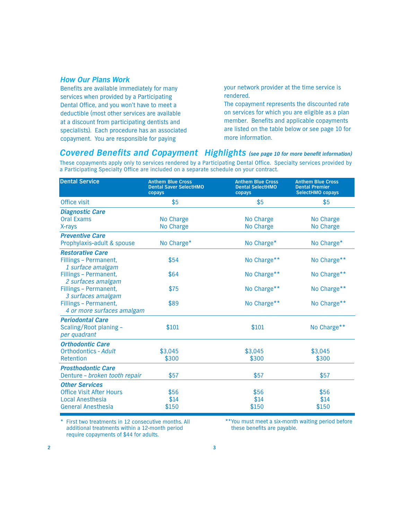#### *How Our Plans Work*

Benefits are available immediately for many services when provided by a Participating Dental Office, and you won't have to meet a deductible (most other services are available at a discount from participating dentists and specialists). Each procedure has an associated copayment. You are responsible for paying

your network provider at the time service is rendered.

The copayment represents the discounted rate on services for which you are eligible as a plan member. Benefits and applicable copayments are listed on the table below or see page 10 for more information.

# *Covered Benefits and Copayment Highlights (see page 10 for more benefit information)*

These copayments apply only to services rendered by a Participating Dental Office. Specialty services provided by a Participating Specialty Office are included on a separate schedule on your contract.

| <b>Dental Service</b>                                             | <b>Anthem Blue Cross</b><br><b>Dental Saver SelectHMO</b><br>copays | <b>Anthem Blue Cross</b><br><b>Dental SelectHMO</b><br>copays | <b>Anthem Blue Cross</b><br><b>Dental Premier</b><br><b>SelectHMO copays</b> |
|-------------------------------------------------------------------|---------------------------------------------------------------------|---------------------------------------------------------------|------------------------------------------------------------------------------|
| Office visit                                                      | \$5                                                                 | \$5                                                           | \$5                                                                          |
| <b>Diagnostic Care</b>                                            |                                                                     |                                                               |                                                                              |
| <b>Oral Exams</b>                                                 | No Charge                                                           | No Charge                                                     | No Charge                                                                    |
| X-rays                                                            | No Charge                                                           | No Charge                                                     | No Charge                                                                    |
| <b>Preventive Care</b>                                            |                                                                     |                                                               |                                                                              |
| Prophylaxis-adult & spouse                                        | No Charge*                                                          | No Charge*                                                    | No Charge*                                                                   |
| <b>Restorative Care</b>                                           |                                                                     |                                                               |                                                                              |
| Fillings - Permanent,<br>1 surface amalgam                        | \$54                                                                | No Charge**                                                   | No Charge**                                                                  |
| Fillings - Permanent,<br>2 surfaces amalgam                       | \$64                                                                | No Charge**                                                   | No Charge**                                                                  |
| Fillings - Permanent,<br>3 surfaces amalgam                       | \$75                                                                | No Charge**                                                   | No Charge**                                                                  |
| Fillings - Permanent,<br>4 or more surfaces amalgam               | \$89                                                                | No Charge**                                                   | No Charge**                                                                  |
| <b>Periodontal Care</b><br>Scaling/Root planing -<br>per quadrant | \$101                                                               | \$101                                                         | No Charge**                                                                  |
| <b>Orthodontic Care</b>                                           |                                                                     |                                                               |                                                                              |
| <b>Orthodontics - Adult</b>                                       | \$3,045                                                             | \$3,045                                                       | \$3,045                                                                      |
| Retention                                                         | \$300                                                               | \$300                                                         | \$300                                                                        |
| <b>Prosthodontic Care</b>                                         |                                                                     |                                                               |                                                                              |
| Denture - broken tooth repair                                     | \$57                                                                | \$57                                                          | \$57                                                                         |
| <b>Other Services</b>                                             |                                                                     |                                                               |                                                                              |
| <b>Office Visit After Hours</b>                                   | \$56                                                                | \$56                                                          | \$56                                                                         |
| <b>Local Anesthesia</b>                                           | \$14                                                                | \$14                                                          | \$14                                                                         |
| <b>General Anesthesia</b>                                         | \$150                                                               | \$150                                                         | \$150                                                                        |

\* First two treatments in 12 consecutive months. All additional treatments within a 12-month period require copayments of \$44 for adults.

\*\*You must meet a six-month waiting period before these benefits are payable.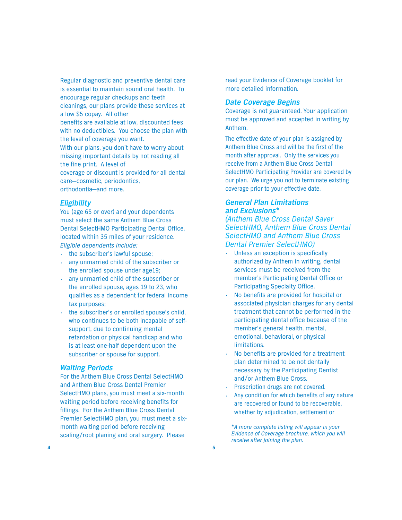Regular diagnostic and preventive dental care is essential to maintain sound oral health. To encourage regular checkups and teeth cleanings, our plans provide these services at a low \$5 copay. All other benefits are available at low, discounted fees with no deductibles. You choose the plan with the level of coverage you want. With our plans, you don't have to worry about missing important details by not reading all the fine print. A level of coverage or discount is provided for all dental care—cosmetic, periodontics, orthodontia—and more.

#### *Eligibility*

You (age 65 or over) and your dependents must select the same Anthem Blue Cross Dental SelectHMO Participating Dental Office, located within 35 miles of your residence. Eligible dependents include:

- **•** the subscriber's lawful spouse;
- **•** any unmarried child of the subscriber or the enrolled spouse under age19;
- **•** any unmarried child of the subscriber or the enrolled spouse, ages 19 to 23, who qualifies as a dependent for federal income tax purposes;
- **•** the subscriber's or enrolled spouse's child, who continues to be both incapable of selfsupport, due to continuing mental retardation or physical handicap and who is at least one-half dependent upon the subscriber or spouse for support.

#### *Waiting Periods*

For the Anthem Blue Cross Dental SelectHMO and Anthem Blue Cross Dental Premier SelectHMO plans, you must meet a six-month waiting period before receiving benefits for fillings. For the Anthem Blue Cross Dental Premier SelectHMO plan, you must meet a sixmonth waiting period before receiving scaling/root planing and oral surgery. Please

read your Evidence of Coverage booklet for more detailed information.

#### *Date Coverage Begins*

Coverage is not guaranteed. Your application must be approved and accepted in writing by Anthem.

The effective date of your plan is assigned by Anthem Blue Cross and will be the first of the month after approval. Only the services you receive from a Anthem Blue Cross Dental SelectHMO Participating Provider are covered by our plan. We urge you not to terminate existing coverage prior to your effective date.

### *General Plan Limitations and Exclusions\**

(Anthem Blue Cross Dental Saver SelectHMO, Anthem Blue Cross Dental SelectHMO and Anthem Blue Cross Dental Premier SelectHMO)

- **•** Unless an exception is specifically authorized by Anthem in writing, dental services must be received from the member's Participating Dental Office or Participating Specialty Office.
- **•** No benefits are provided for hospital or associated physician charges for any dental treatment that cannot be performed in the participating dental office because of the member's general health, mental, emotional, behavioral, or physical **limitations**
- **•** No benefits are provided for a treatment plan determined to be not dentally necessary by the Participating Dentist and/or Anthem Blue Cross.
- **•** Prescription drugs are not covered.
- **•** Any condition for which benefits of any nature are recovered or found to be recoverable, whether by adjudication, settlement or

\*A more complete listing will appear in your Evidence of Coverage brochure, which you will receive after joining the plan.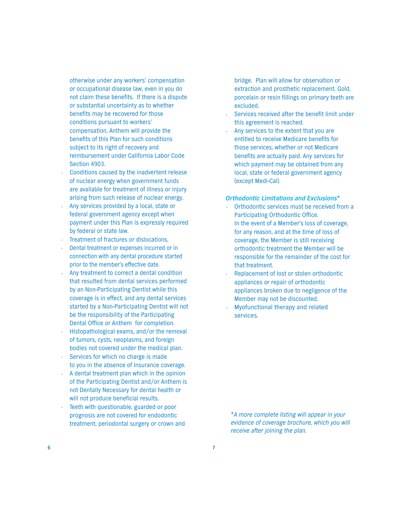otherwise under any workers' compensation or occupational disease law, even in you do not claim these benefits. If there is a dispute or substantial uncertainty as to whether benefits may be recovered for those conditions pursuant to workers' compensation, Anthem will provide the benefits of this Plan for such conditions subject to its right of recovery and reimbursement under California Labor Code Section 4903.

- **•** Conditions caused by the inadvertent release of nuclear energy when government funds are available for treatment of illness or injury arising from such release of nuclear energy.
- **•** Any services provided by a local, state or federal government agency except when payment under this Plan is expressly required by federal or state law.
- **•** Treatment of fractures or dislocations.
- **•** Dental treatment or expenses incurred or in connection with any dental procedure started prior to the member's effective date.
- **•** Any treatment to correct a dental condition that resulted from dental services performed by an Non-Participating Dentist while this coverage is in effect, and any dental services started by a Non-Participating Dentist will not be the responsibility of the Participating Dental Office or Anthem for completion.
- **•** Histopathological exams, and/or the removal of tumors, cysts, neoplasms, and foreign bodies not covered under the medical plan.
- **•** Services for which no charge is made to you in the absence of insurance coverage.
- **•** A dental treatment plan which in the opinion of the Participating Dentist and/or Anthem is not Dentally Necessary for dental health or will not produce beneficial results.
- **•** Teeth with questionable, guarded or poor prognosis are not covered for endodontic treatment, periodontal surgery or crown and

bridge. Plan will allow for observation or extraction and prosthetic replacement. Gold, porcelain or resin fillings on primary teeth are excluded.

- **•** Services received after the benefit limit under this agreement is reached.
- **•** Any services to the extent that you are entitled to receive Medicare benefits for those services, whether or not Medicare benefits are actually paid. Any services for which payment may be obtained from any local, state or federal government agency (except Medi-Cal).

#### *Orthodontic Limitations and Exclusions\**

- **•** Orthodontic services must be received from a Participating Orthodontic Office. In the event of a Member's loss of coverage, for any reason, and at the time of loss of coverage, the Member is still receiving orthodontic treatment the Member will be responsible for the remainder of the cost for that treatment.
- **•** Replacement of lost or stolen orthodontic appliances or repair of orthodontic appliances broken due to negligence of the Member may not be discounted.
- **•** Myofunctional therapy and related services.

\*A more complete listing will appear in your evidence of coverage brochure, which you will receive after joining the plan.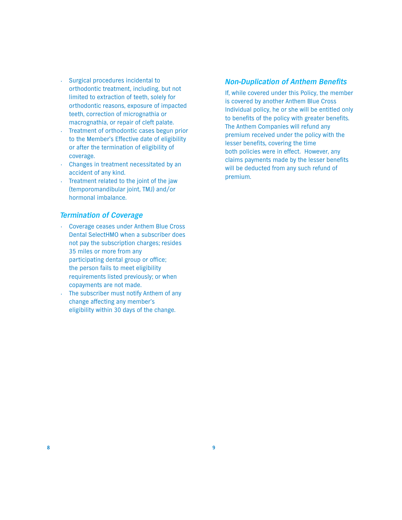- **•** Surgical procedures incidental to orthodontic treatment, including, but not limited to extraction of teeth, solely for orthodontic reasons, exposure of impacted teeth, correction of micrognathia or macrognathia, or repair of cleft palate.
- **•** Treatment of orthodontic cases begun prior to the Member's Effective date of eligibility or after the termination of eligibility of coverage.
- **•** Changes in treatment necessitated by an accident of any kind.
- **•** Treatment related to the joint of the jaw (temporomandibular joint, TMJ) and/or hormonal imbalance.

#### *Termination of Coverage*

- **•** Coverage ceases under Anthem Blue Cross Dental SelectHMO when a subscriber does not pay the subscription charges; resides 35 miles or more from any participating dental group or office; the person fails to meet eligibility requirements listed previously; or when copayments are not made.
- **•** The subscriber must notify Anthem of any change affecting any member's eligibility within 30 days of the change.

#### *Non-Duplication of Anthem Benefits*

If, while covered under this Policy, the member is covered by another Anthem Blue Cross Individual policy, he or she will be entitled only to benefits of the policy with greater benefits. The Anthem Companies will refund any premium received under the policy with the lesser benefits, covering the time both policies were in effect. However, any claims payments made by the lesser benefits will be deducted from any such refund of premium.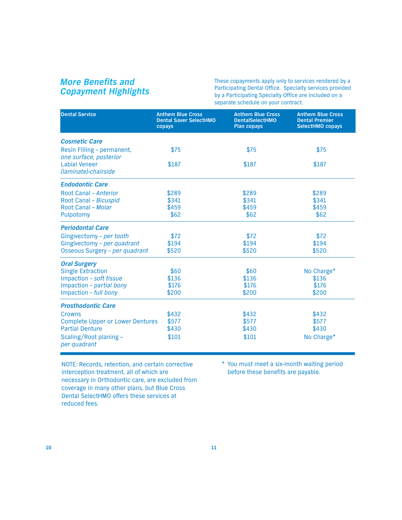# *More Benefits and Copayment Highlights*

These copayments apply only to services rendered by a Participating Dental Office. Specialty services provided by a Participating Specialty Office are included on a separate schedule on your contract.

| <b>Dental Service</b>                                | <b>Anthem Blue Cross</b><br><b>Dental Saver SelectHMO</b><br>copays | <b>Anthem Blue Cross</b><br><b>DentalSelectHMO</b><br><b>Plan copays</b> | <b>Anthem Blue Cross</b><br><b>Dental Premier</b><br><b>SelectHMO copays</b> |
|------------------------------------------------------|---------------------------------------------------------------------|--------------------------------------------------------------------------|------------------------------------------------------------------------------|
| <b>Cosmetic Care</b>                                 |                                                                     |                                                                          |                                                                              |
| Resin Filling - permanent,<br>one surface, posterior | \$75                                                                | \$75                                                                     | \$75                                                                         |
| <b>Labial Veneer</b><br>(laminate)-chairside         | \$187                                                               | \$187                                                                    | \$187                                                                        |
| <b>Endodontic Care</b>                               |                                                                     |                                                                          |                                                                              |
| Root Canal - Anterior                                | \$289                                                               | \$289                                                                    | \$289                                                                        |
| Root Canal - Bicuspid                                | \$341                                                               | \$341                                                                    | \$341                                                                        |
| Root Canal - Molar                                   | \$459                                                               | \$459                                                                    | \$459                                                                        |
| Pulpotomy                                            | \$62                                                                | \$62                                                                     | \$62                                                                         |
| <b>Periodontal Care</b>                              |                                                                     |                                                                          |                                                                              |
| Gingivectomy - per tooth                             | \$72                                                                | \$72                                                                     | \$72                                                                         |
| Gingivectomy - per quadrant                          | \$194                                                               | \$194                                                                    | \$194                                                                        |
| Osseous Surgery - per quadrant                       | \$520                                                               | \$520                                                                    | \$520                                                                        |
| <b>Oral Surgery</b>                                  |                                                                     |                                                                          |                                                                              |
| <b>Single Extraction</b>                             | \$60                                                                | \$60                                                                     | No Charge*                                                                   |
| Impaction - soft tissue                              | \$136                                                               | \$136                                                                    | \$136                                                                        |
| Impaction - partial bony                             | \$176                                                               | \$176                                                                    | \$176                                                                        |
| Impaction - full bony                                | \$200                                                               | \$200                                                                    | \$200                                                                        |
| <b>Prosthodontic Care</b>                            |                                                                     |                                                                          |                                                                              |
| Crowns                                               | \$432                                                               | \$432                                                                    | \$432                                                                        |
| <b>Complete Upper or Lower Dentures</b>              | \$577                                                               | \$577                                                                    | \$577                                                                        |
| <b>Partial Denture</b>                               | \$430                                                               | \$430                                                                    | \$430                                                                        |
| Scaling/Root planing -<br>per quadrant               | \$101                                                               | \$101                                                                    | No Charge*                                                                   |

NOTE: Records, retention, and certain corrective interception treatment, all of which are necessary in Orthodontic care, are excluded from coverage in many other plans, but Blue Cross Dental SelectHMO offers these services at reduced fees.

\* You must meet a six-month waiting period before these benefits are payable.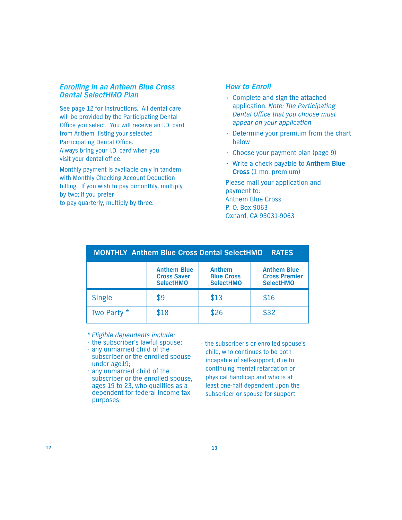#### *Enrolling in an Anthem Blue Cross Dental SelectHMO Plan*

See page 12 for instructions. All dental care will be provided by the Participating Dental Office you select. You will receive an I.D. card from Anthem listing your selected Participating Dental Office. Always bring your I.D. card when you visit your dental office.

Monthly payment is available only in tandem with Monthly Checking Account Deduction billing. If you wish to pay bimonthly, multiply by two; if you prefer

to pay quarterly, multiply by three.

### *How to Enroll*

- **•** Complete and sign the attached application. Note: The Participating Dental Office that you choose must appear on your application
- **•** Determine your premium from the chart below
- **•** Choose your payment plan (page 9)
- **•** Write a check payable to **Anthem Blue Cross** (1 mo. premium)

Please mail your application and payment to: Anthem Blue Cross P. O. Box 9063 Oxnard, CA 93031-9063

| <b>MONTHLY Anthem Blue Cross Dental SelectHMO</b><br><b>RATES</b> |                                                              |                                                        |                                                                |  |  |
|-------------------------------------------------------------------|--------------------------------------------------------------|--------------------------------------------------------|----------------------------------------------------------------|--|--|
|                                                                   | <b>Anthem Blue</b><br><b>Cross Saver</b><br><b>SelectHMO</b> | <b>Anthem</b><br><b>Blue Cross</b><br><b>SelectHMO</b> | <b>Anthem Blue</b><br><b>Cross Premier</b><br><b>SelectHMO</b> |  |  |
| <b>Single</b>                                                     | \$9                                                          | \$13                                                   | \$16                                                           |  |  |
| Two Party *                                                       | \$18                                                         | \$26                                                   | \$32                                                           |  |  |

\* Eligible dependents include:

- the subscriber's lawful spouse;
- any unmarried child of the subscriber or the enrolled spouse under age19;
- any unmarried child of the subscriber or the enrolled spouse, ages 19 to 23, who qualifies as a dependent for federal income tax purposes;
- the subscriber's or enrolled spouse's child, who continues to be both incapable of self-support, due to continuing mental retardation or physical handicap and who is at least one-half dependent upon the subscriber or spouse for support.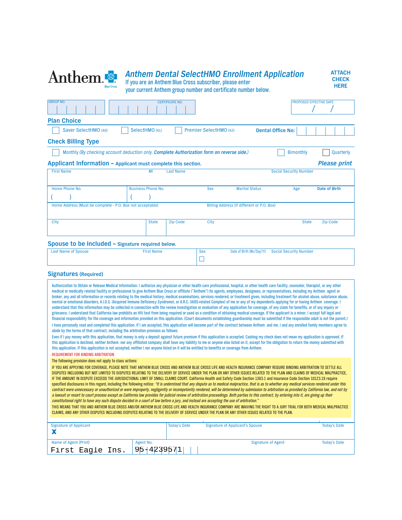| Anthem <sup>®</sup>                                                                                                                                                                                                                                                                                                                                                                                                                                                                                                                                                                                                                                                                                                                                                                                                                                                                                                                                                                                                                                                                                                                                                                                                                                                                                                                                                                                                                                                                                                                                                                                                                                                                                                                                                                                                                                                                                                                                                                                                                                                                                                                                                                                                                                                                          |                           |                        | <b>Anthem Dental SelectHMO Enrollment Application</b><br>If you are an Anthem Blue Cross subscriber, please enter<br>your current Anthem group number and certificate number below. |                           |                                | <b>ATTACH</b><br><b>CHECK</b><br><b>HERE</b> |
|----------------------------------------------------------------------------------------------------------------------------------------------------------------------------------------------------------------------------------------------------------------------------------------------------------------------------------------------------------------------------------------------------------------------------------------------------------------------------------------------------------------------------------------------------------------------------------------------------------------------------------------------------------------------------------------------------------------------------------------------------------------------------------------------------------------------------------------------------------------------------------------------------------------------------------------------------------------------------------------------------------------------------------------------------------------------------------------------------------------------------------------------------------------------------------------------------------------------------------------------------------------------------------------------------------------------------------------------------------------------------------------------------------------------------------------------------------------------------------------------------------------------------------------------------------------------------------------------------------------------------------------------------------------------------------------------------------------------------------------------------------------------------------------------------------------------------------------------------------------------------------------------------------------------------------------------------------------------------------------------------------------------------------------------------------------------------------------------------------------------------------------------------------------------------------------------------------------------------------------------------------------------------------------------|---------------------------|------------------------|-------------------------------------------------------------------------------------------------------------------------------------------------------------------------------------|---------------------------|--------------------------------|----------------------------------------------|
| <b>GROUP NO.</b>                                                                                                                                                                                                                                                                                                                                                                                                                                                                                                                                                                                                                                                                                                                                                                                                                                                                                                                                                                                                                                                                                                                                                                                                                                                                                                                                                                                                                                                                                                                                                                                                                                                                                                                                                                                                                                                                                                                                                                                                                                                                                                                                                                                                                                                                             |                           | <b>CERTIFICATE NO.</b> |                                                                                                                                                                                     |                           | <b>PROPOSED EFFECTIVE DATE</b> |                                              |
| <b>Plan Choice</b>                                                                                                                                                                                                                                                                                                                                                                                                                                                                                                                                                                                                                                                                                                                                                                                                                                                                                                                                                                                                                                                                                                                                                                                                                                                                                                                                                                                                                                                                                                                                                                                                                                                                                                                                                                                                                                                                                                                                                                                                                                                                                                                                                                                                                                                                           |                           |                        |                                                                                                                                                                                     |                           |                                |                                              |
| Saver SelectHMO (40)                                                                                                                                                                                                                                                                                                                                                                                                                                                                                                                                                                                                                                                                                                                                                                                                                                                                                                                                                                                                                                                                                                                                                                                                                                                                                                                                                                                                                                                                                                                                                                                                                                                                                                                                                                                                                                                                                                                                                                                                                                                                                                                                                                                                                                                                         | SelectHMO (41)            |                        | Premier SelectHMO (42)                                                                                                                                                              | <b>Dental Office No:</b>  |                                |                                              |
| <b>Check Billing Type</b>                                                                                                                                                                                                                                                                                                                                                                                                                                                                                                                                                                                                                                                                                                                                                                                                                                                                                                                                                                                                                                                                                                                                                                                                                                                                                                                                                                                                                                                                                                                                                                                                                                                                                                                                                                                                                                                                                                                                                                                                                                                                                                                                                                                                                                                                    |                           |                        |                                                                                                                                                                                     |                           |                                |                                              |
| Monthly (By checking account deduction only. Complete Authorization form on reverse side.)                                                                                                                                                                                                                                                                                                                                                                                                                                                                                                                                                                                                                                                                                                                                                                                                                                                                                                                                                                                                                                                                                                                                                                                                                                                                                                                                                                                                                                                                                                                                                                                                                                                                                                                                                                                                                                                                                                                                                                                                                                                                                                                                                                                                   |                           |                        |                                                                                                                                                                                     |                           | <b>Bimonthly</b>               | Quarterly                                    |
| Applicant Information - Applicant must complete this section.                                                                                                                                                                                                                                                                                                                                                                                                                                                                                                                                                                                                                                                                                                                                                                                                                                                                                                                                                                                                                                                                                                                                                                                                                                                                                                                                                                                                                                                                                                                                                                                                                                                                                                                                                                                                                                                                                                                                                                                                                                                                                                                                                                                                                                |                           |                        |                                                                                                                                                                                     |                           |                                | <b>Please print</b>                          |
| <b>First Name</b>                                                                                                                                                                                                                                                                                                                                                                                                                                                                                                                                                                                                                                                                                                                                                                                                                                                                                                                                                                                                                                                                                                                                                                                                                                                                                                                                                                                                                                                                                                                                                                                                                                                                                                                                                                                                                                                                                                                                                                                                                                                                                                                                                                                                                                                                            | MI                        | <b>Last Name</b>       |                                                                                                                                                                                     |                           | <b>Social Security Number</b>  |                                              |
| Home Phone No.                                                                                                                                                                                                                                                                                                                                                                                                                                                                                                                                                                                                                                                                                                                                                                                                                                                                                                                                                                                                                                                                                                                                                                                                                                                                                                                                                                                                                                                                                                                                                                                                                                                                                                                                                                                                                                                                                                                                                                                                                                                                                                                                                                                                                                                                               | <b>Business Phone No.</b> |                        | <b>Sex</b>                                                                                                                                                                          | <b>Marital Status</b>     | Age                            | <b>Date of Birth</b>                         |
|                                                                                                                                                                                                                                                                                                                                                                                                                                                                                                                                                                                                                                                                                                                                                                                                                                                                                                                                                                                                                                                                                                                                                                                                                                                                                                                                                                                                                                                                                                                                                                                                                                                                                                                                                                                                                                                                                                                                                                                                                                                                                                                                                                                                                                                                                              |                           |                        |                                                                                                                                                                                     |                           |                                |                                              |
| Home Address (Must be complete - P.O. Box not acceptable)                                                                                                                                                                                                                                                                                                                                                                                                                                                                                                                                                                                                                                                                                                                                                                                                                                                                                                                                                                                                                                                                                                                                                                                                                                                                                                                                                                                                                                                                                                                                                                                                                                                                                                                                                                                                                                                                                                                                                                                                                                                                                                                                                                                                                                    |                           |                        | Billing Address (if different or P.O. Box)                                                                                                                                          |                           |                                |                                              |
|                                                                                                                                                                                                                                                                                                                                                                                                                                                                                                                                                                                                                                                                                                                                                                                                                                                                                                                                                                                                                                                                                                                                                                                                                                                                                                                                                                                                                                                                                                                                                                                                                                                                                                                                                                                                                                                                                                                                                                                                                                                                                                                                                                                                                                                                                              |                           |                        |                                                                                                                                                                                     |                           |                                |                                              |
| City                                                                                                                                                                                                                                                                                                                                                                                                                                                                                                                                                                                                                                                                                                                                                                                                                                                                                                                                                                                                                                                                                                                                                                                                                                                                                                                                                                                                                                                                                                                                                                                                                                                                                                                                                                                                                                                                                                                                                                                                                                                                                                                                                                                                                                                                                         | <b>State</b>              | <b>Zip Code</b>        | City                                                                                                                                                                                |                           | <b>State</b>                   | <b>Zip Code</b>                              |
|                                                                                                                                                                                                                                                                                                                                                                                                                                                                                                                                                                                                                                                                                                                                                                                                                                                                                                                                                                                                                                                                                                                                                                                                                                                                                                                                                                                                                                                                                                                                                                                                                                                                                                                                                                                                                                                                                                                                                                                                                                                                                                                                                                                                                                                                                              |                           |                        |                                                                                                                                                                                     |                           |                                |                                              |
| Spouse to be Included - Signature required below.                                                                                                                                                                                                                                                                                                                                                                                                                                                                                                                                                                                                                                                                                                                                                                                                                                                                                                                                                                                                                                                                                                                                                                                                                                                                                                                                                                                                                                                                                                                                                                                                                                                                                                                                                                                                                                                                                                                                                                                                                                                                                                                                                                                                                                            |                           |                        |                                                                                                                                                                                     |                           |                                |                                              |
| <b>Last Name of Spouse</b>                                                                                                                                                                                                                                                                                                                                                                                                                                                                                                                                                                                                                                                                                                                                                                                                                                                                                                                                                                                                                                                                                                                                                                                                                                                                                                                                                                                                                                                                                                                                                                                                                                                                                                                                                                                                                                                                                                                                                                                                                                                                                                                                                                                                                                                                   | <b>First Name</b>         |                        | <b>Sex</b><br>Ш                                                                                                                                                                     | Date of Birth (Mo/Day/Yr) | <b>Social Security Number</b>  |                                              |
|                                                                                                                                                                                                                                                                                                                                                                                                                                                                                                                                                                                                                                                                                                                                                                                                                                                                                                                                                                                                                                                                                                                                                                                                                                                                                                                                                                                                                                                                                                                                                                                                                                                                                                                                                                                                                                                                                                                                                                                                                                                                                                                                                                                                                                                                                              |                           |                        |                                                                                                                                                                                     |                           |                                |                                              |
| <b>Signatures (Required)</b>                                                                                                                                                                                                                                                                                                                                                                                                                                                                                                                                                                                                                                                                                                                                                                                                                                                                                                                                                                                                                                                                                                                                                                                                                                                                                                                                                                                                                                                                                                                                                                                                                                                                                                                                                                                                                                                                                                                                                                                                                                                                                                                                                                                                                                                                 |                           |                        |                                                                                                                                                                                     |                           |                                |                                              |
| Authorization to Obtain or Release Medical Information: I authorize any physician or other health care professional, hospital, or other health care facility, counselor, therapist, or any other<br>medical or medically related facility or professional to give Anthem Blue Cross or affiliate ("Anthem") its agents, employees, designees, or representatives, including my Anthem agent or<br>broker, any and all information or records relating to the medical history, medical examinations, services rendered, or treatment given, including treatment for alcohol abuse, substance abuse,<br>mental or emotional disorders, A.I.D.S. (Acquired Immune Deficiency Syndrome), or A.R.C. (AIDS-related Complex) of me or any of my dependents applying for or having Anthem coverage. I<br>understand that this information may be collected in connection with the review investigation or evaluation of any application for coverage, of any claim for benefits, or of any inquiry or<br>grievance. I understand that California law prohibits an HIV test from being required or used as a condition of obtaining medical coverage. If the applicant is a minor, I accept full legal and<br>financial responsibility for the coverage and information provided on this application. (Court documents establishing guardianship must be submitted if the responsible adult is not the parent.)<br>I have personally read and completed this application. If I am accepted, this application will become part of the contract between Anthem and me. I and any enrolled family members agree to<br>abide by the terms of that contract, including the arbitration provision as follows:<br>Even if I pay money with this application, that money is only a deposit against future premium if this application is accepted. Cashing my check does not mean my application is approved. If<br>this application is declined, neither Anthem nor any affiliated company shall have any liability to me or anyone else listed on it, except for the obligation to return the money submitted with<br>this application. If this application is not accepted, neither I nor anyone listed on it will be entitled to benefits or coverage from Anthem.<br>REQUIREMENT FOR BINDING ARBITRATION |                           |                        |                                                                                                                                                                                     |                           |                                |                                              |
| The following provision does not apply to class actions:<br>IF YOU ARE APPLYING FOR COVERAGE. PLEASE NOTE THAT ANTHEM BLUE CROSS AND ANTHEM BLUE CROSS LIFE AND HEALTH INSURANCE COMPANY REQUIRE BINDING ARBITRATION TO SETTLE ALL<br>DISPUTES INCLUDING BUT NOT LIMITED TO DISPUTES RELATING TO THE DELIVERY OF SERVICE UNDER THE PLAN OR ANY OTHER ISSUES RELATED TO THE PLAN AND CLAIMS OF MEDICAL MALPRACTICE,<br>IF THE AMOUNT IN DISPUTE EXCEEDS THE JURISDICTIONAL LIMIT OF SMALL CLAIMS COURT. California Health and Safety Code Section 1363.1 and Insurance Code Section 10123.19 require<br>specified disclosures in this regard, including the following notice: "It is understood that any dispute as to medical malpractice, that is as to whether any medical services rendered under this<br>contract were unnecessary or unauthorized or were improperly, negligently or incompetently rendered, will be determined by submission to arbitration as provided by California law, and not by<br>a lawsuit or resort to court process except as California law provides for judicial review of arbitration proceedings. Both parties to this contract, by entering into it, are giving up their<br>constitutional right to have any such dispute decided in a court of law before a jury, and instead are accepting the use of arbitration."<br>THIS MEANS THAT YOU AND ANTHEM BLUE CROSS AND/OR ANTHEM BLUE CROSS LIFE AND HEALTH INSURANCE COMPANY ARE WAIVING THE RIGHT TO A JURY TRIAL FOR BOTH MEDICAL MALPRACTICE<br>CLAIMS, AND ANY OTHER DISPUTES INCLUDING DISPUTES RELATING TO THE DELIVERY OF SERVICE UNDER THE PLAN OR ANY OTHER ISSUES RELATED TO THE PLAN.                                                                                                                                                                                                                                                                                                                                                                                                                                                                                                                                                                                                       |                           |                        |                                                                                                                                                                                     |                           |                                |                                              |
| <b>Signature of Applicant</b>                                                                                                                                                                                                                                                                                                                                                                                                                                                                                                                                                                                                                                                                                                                                                                                                                                                                                                                                                                                                                                                                                                                                                                                                                                                                                                                                                                                                                                                                                                                                                                                                                                                                                                                                                                                                                                                                                                                                                                                                                                                                                                                                                                                                                                                                |                           | <b>Today's Date</b>    | <b>Signature of Applicant's Spouse</b>                                                                                                                                              |                           |                                | <b>Today's Date</b>                          |
| X                                                                                                                                                                                                                                                                                                                                                                                                                                                                                                                                                                                                                                                                                                                                                                                                                                                                                                                                                                                                                                                                                                                                                                                                                                                                                                                                                                                                                                                                                                                                                                                                                                                                                                                                                                                                                                                                                                                                                                                                                                                                                                                                                                                                                                                                                            |                           |                        |                                                                                                                                                                                     |                           |                                |                                              |
| Name of Agent (Print)                                                                                                                                                                                                                                                                                                                                                                                                                                                                                                                                                                                                                                                                                                                                                                                                                                                                                                                                                                                                                                                                                                                                                                                                                                                                                                                                                                                                                                                                                                                                                                                                                                                                                                                                                                                                                                                                                                                                                                                                                                                                                                                                                                                                                                                                        | Agent No.                 |                        |                                                                                                                                                                                     | <b>Signature of Agent</b> |                                | <b>Today's Date</b>                          |
| First Eagle Ins.                                                                                                                                                                                                                                                                                                                                                                                                                                                                                                                                                                                                                                                                                                                                                                                                                                                                                                                                                                                                                                                                                                                                                                                                                                                                                                                                                                                                                                                                                                                                                                                                                                                                                                                                                                                                                                                                                                                                                                                                                                                                                                                                                                                                                                                                             | $95 + 4239571$            |                        |                                                                                                                                                                                     |                           |                                |                                              |